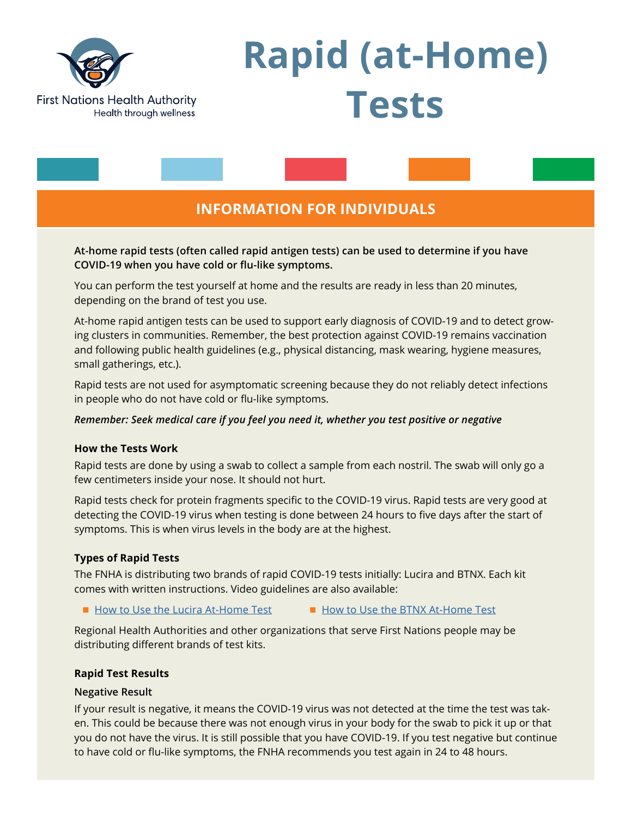

# **Rapid (at-Home) Tests**

# **INFORMATION FOR INDIVIDUALS**

**At-home rapid tests (often called rapid antigen tests) can be used to determine if you have COVID-19 when you have cold or flu-like symptoms.** 

You can perform the test yourself at home and the results are ready in less than 20 minutes, depending on the brand of test you use.

At-home rapid antigen tests can be used to support early diagnosis of COVID-19 and to detect growing clusters in communities. Remember, the best protection against COVID-19 remains vaccination and following public health guidelines (e.g., physical distancing, mask wearing, hygiene measures, small gatherings, etc.).

Rapid tests are not used for asymptomatic screening because they do not reliably detect infections in people who do not have cold or flu-like symptoms.

#### *Remember: Seek medical care if you feel you need it, whether you test positive or negative*

#### **How the Tests Work**

Rapid tests are done by using a swab to collect a sample from each nostril. The swab will only go a few centimeters inside your nose. It should not hurt.

Rapid tests check for protein fragments specific to the COVID-19 virus. Rapid tests are very good at detecting the COVID-19 virus when testing is done between 24 hours to five days after the start of symptoms. This is when virus levels in the body are at the highest.

# **Types of Rapid Tests**

The FNHA is distributing two brands of rapid COVID-19 tests initially: Lucira and BTNX. Each kit comes with written instructions. Video guidelines are also available:

■ [How to Use the Lucira At-Home Test](https://www.youtube.com/watch?v=8RlmPJgpjjw) ■ [How to Use the BTNX At-Home Test](https://www.btnx.com/Product?id=2010)

Regional Health Authorities and other organizations that serve First Nations people may be distributing different brands of test kits.

#### **Rapid Test Results**

#### **Negative Result**

If your result is negative, it means the COVID-19 virus was not detected at the time the test was taken. This could be because there was not enough virus in your body for the swab to pick it up or that you do not have the virus. It is still possible that you have COVID-19. If you test negative but continue to have cold or flu-like symptoms, the FNHA recommends you test again in 24 to 48 hours.